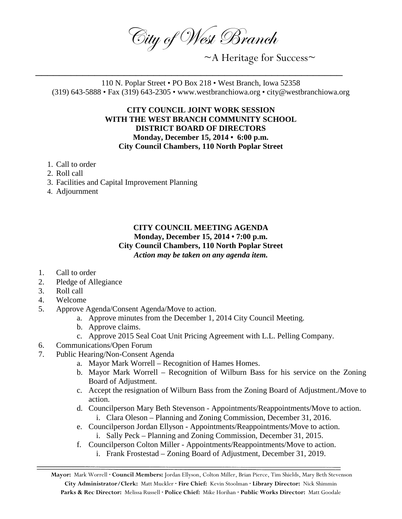City of West Branch

~A Heritage for Success~

110 N. Poplar Street • PO Box 218 • West Branch, Iowa 52358 (319) 643-5888 • Fax (319) 643-2305 • www.westbranchiowa.org • city@westbranchiowa.org

\_\_\_\_\_\_\_\_\_\_\_\_\_\_\_\_\_\_\_\_\_\_\_\_\_\_\_\_\_\_\_\_\_\_\_\_\_\_\_\_\_\_\_\_\_\_\_\_\_\_\_\_

## **CITY COUNCIL JOINT WORK SESSION WITH THE WEST BRANCH COMMUNITY SCHOOL DISTRICT BOARD OF DIRECTORS Monday, December 15, 2014 • 6:00 p.m. City Council Chambers, 110 North Poplar Street**

- 1. Call to order
- 2. Roll call
- 3. Facilities and Capital Improvement Planning
- 4. Adjournment

## **CITY COUNCIL MEETING AGENDA Monday, December 15, 2014 • 7:00 p.m. City Council Chambers, 110 North Poplar Street** *Action may be taken on any agenda item.*

- 1. Call to order
- 2. Pledge of Allegiance
- 3. Roll call
- 4. Welcome
- 5. Approve Agenda/Consent Agenda/Move to action.
	- a. Approve minutes from the December 1, 2014 City Council Meeting.
	- b. Approve claims.
	- c. Approve 2015 Seal Coat Unit Pricing Agreement with L.L. Pelling Company.
- 6. Communications/Open Forum
- 7. Public Hearing/Non-Consent Agenda
	- a. Mayor Mark Worrell Recognition of Hames Homes.
	- b. Mayor Mark Worrell Recognition of Wilburn Bass for his service on the Zoning Board of Adjustment.
	- c. Accept the resignation of Wilburn Bass from the Zoning Board of Adjustment./Move to action.
	- d. Councilperson Mary Beth Stevenson Appointments/Reappointments/Move to action. i. Clara Oleson – Planning and Zoning Commission, December 31, 2016.
	- e. Councilperson Jordan Ellyson Appointments/Reappointments/Move to action. i. Sally Peck – Planning and Zoning Commission, December 31, 2015.
	- f. Councilperson Colton Miller Appointments/Reappointments/Move to action.
		- i. Frank Frostestad Zoning Board of Adjustment, December 31, 2019.

**Mayor:** Mark Worrell **· Council Members:** Jordan Ellyson, Colton Miller, Brian Pierce, Tim Shields, Mary Beth Stevenson **City Administrator/Clerk:** Matt Muckler **· Fire Chief:** Kevin Stoolman **· Library Director:** Nick Shimmin **Parks & Rec Director:** Melissa Russell **· Police Chief:** Mike Horihan **· Public Works Director:** Matt Goodale